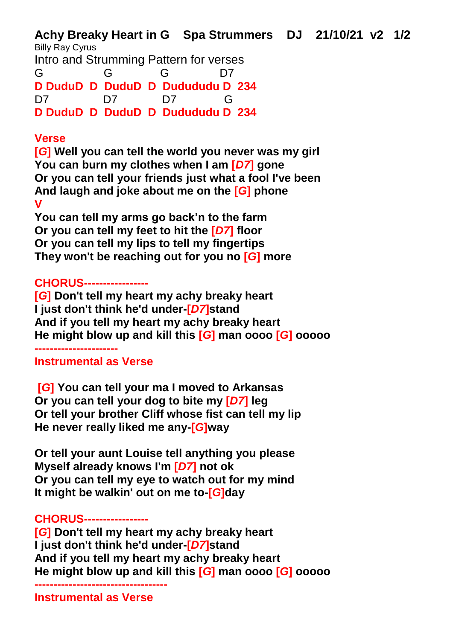**Achy Breaky Heart in G Spa Strummers DJ 21/10/21 v2 1/2** Billy Ray Cyrus

Intro and Strumming Pattern for verses G G G D7 **D DuduD D DuduD D Dudududu D 234** D7 D7 D7 G **D DuduD D DuduD D Dudududu D 234**

# **Verse**

**[***G***] Well you can tell the world you never was my girl You can burn my clothes when I am [***D7***] gone Or you can tell your friends just what a fool I've been And laugh and joke about me on the [***G***] phone V**

**You can tell my arms go back'n to the farm Or you can tell my feet to hit the [***D7***] floor Or you can tell my lips to tell my fingertips They won't be reaching out for you no [***G***] more**

#### **CHORUS-----------------**

**[***G***] Don't tell my heart my achy breaky heart I just don't think he'd under-[***D7***]stand And if you tell my heart my achy breaky heart He might blow up and kill this [***G***] man oooo [***G***] ooooo**

**----------------------**

## **Instrumental as Verse**

**[***G***] You can tell your ma I moved to Arkansas Or you can tell your dog to bite my [***D7***] leg Or tell your brother Cliff whose fist can tell my lip He never really liked me any-[***G***]way**

**Or tell your aunt Louise tell anything you please Myself already knows I'm [***D7***] not ok Or you can tell my eye to watch out for my mind It might be walkin' out on me to-[***G***]day**

## **CHORUS-----------------**

**[***G***] Don't tell my heart my achy breaky heart I just don't think he'd under-[***D7***]stand And if you tell my heart my achy breaky heart He might blow up and kill this [***G***] man oooo [***G***] ooooo**

**-----------------------------------**

**Instrumental as Verse**